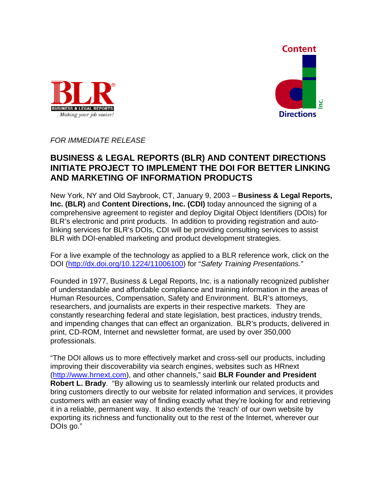



*FOR IMMEDIATE RELEASE* 

## **BUSINESS & LEGAL REPORTS (BLR) AND CONTENT DIRECTIONS INITIATE PROJECT TO IMPLEMENT THE DOI FOR BETTER LINKING AND MARKETING OF INFORMATION PRODUCTS**

New York, NY and Old Saybrook, CT, January 9, 2003 – **Business & Legal Reports, Inc. (BLR)** and **Content Directions, Inc. (CDI)** today announced the signing of a comprehensive agreement to register and deploy Digital Object Identifiers (DOIs) for BLR's electronic and print products. In addition to providing registration and autolinking services for BLR's DOIs, CDI will be providing consulting services to assist BLR with DOI-enabled marketing and product development strategies.

For a live example of the technology as applied to a BLR reference work, click on the DOI [\(http://dx.doi.org/10.1224/11006100](http://dx.doi.org/10.1224/11006100)) for "*Safety Training Presentations."*

Founded in 1977, Business & Legal Reports, Inc. is a nationally recognized publisher of understandable and affordable compliance and training information in the areas of Human Resources, Compensation, Safety and Environment. BLR's attorneys, researchers, and journalists are experts in their respective markets. They are constantly researching federal and state legislation, best practices, industry trends, and impending changes that can effect an organization. BLR's products, delivered in print, CD-ROM, Internet and newsletter format, are used by over 350,000 professionals.

"The DOI allows us to more effectively market and cross-sell our products, including improving their discoverability via search engines, websites such as HRnext [\(http://www.hrnext.com](http://www.hrnext.com/)), and other channels," said **BLR Founder and President Robert L. Brady**. "By allowing us to seamlessly interlink our related products and bring customers directly to our website for related information and services, it provides customers with an easier way of finding exactly what they're looking for and retrieving it in a reliable, permanent way. It also extends the 'reach' of our own website by exporting its richness and functionality out to the rest of the Internet, wherever our DOIs go."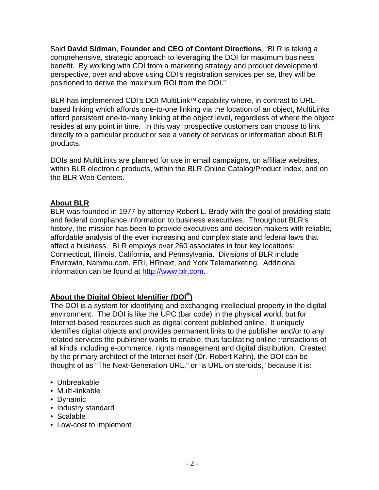Said **David Sidman**, **Founder and CEO of Content Directions**, "BLR is taking a comprehensive, strategic approach to leveraging the DOI for maximum business benefit. By working with CDI from a marketing strategy and product development perspective, over and above using CDI's registration services per se, they will be positioned to derive the maximum ROI from the DOI."

BLR has implemented CDI's DOI MultiLink<sup>™</sup> capability where, in contrast to URLbased linking which affords one-to-one linking via the location of an object, MultiLinks afford persistent one-to-many linking at the object level, regardless of where the object resides at any point in time. In this way, prospective customers can choose to link directly to a particular product or see a variety of services or information about BLR products.

DOIs and MultiLinks are planned for use in email campaigns, on affiliate websites, within BLR electronic products, within the BLR Online Catalog/Product Index, and on the BLR Web Centers.

## **About BLR**

BLR was founded in 1977 by attorney Robert L. Brady with the goal of providing state and federal compliance information to business executives. Throughout BLR's history, the mission has been to provide executives and decision makers with reliable, affordable analysis of the ever increasing and complex state and federal laws that affect a business. BLR employs over 260 associates in four key locations: Connecticut, Illinois, California, and Pennsylvania. Divisions of BLR include Envirowin, Nammu.com, ERI, HRnext, and York Telemarketing. Additional information can be found at [http://www.blr.com.](http://www.blr.com/)

## **About the Digital Object Identifier (DOI®)**

The DOI is a system for identifying and exchanging intellectual property in the digital environment. The DOI is like the UPC (bar code) in the physical world, but for Internet-based resources such as digital content published online. It uniquely identifies digital objects and provides permanent links to the publisher and/or to any related services the publisher wants to enable, thus facilitating online transactions of all kinds including e-commerce, rights management and digital distribution. Created by the primary architect of the Internet itself (Dr. Robert Kahn), the DOI can be thought of as "The Next-Generation URL," or "a URL on steroids," because it is:

- Unbreakable
- Multi-linkable
- Dynamic
- Industry standard
- Scalable
- Low-cost to implement